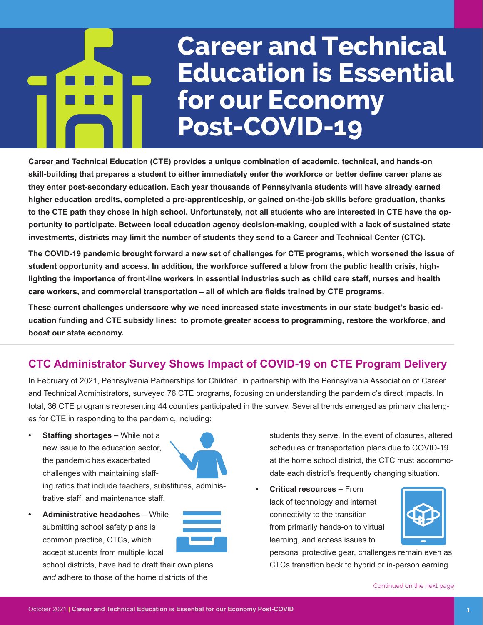# **Career and Technical Education is Essential for our Economy Post-COVID-19**

**Career and Technical Education (CTE) provides a unique combination of academic, technical, and hands-on skill-building that prepares a student to either immediately enter the workforce or better define career plans as they enter post-secondary education. Each year thousands of Pennsylvania students will have already earned higher education credits, completed a pre-apprenticeship, or gained on-the-job skills before graduation, thanks to the CTE path they chose in high school. Unfortunately, not all students who are interested in CTE have the opportunity to participate. Between local education agency decision-making, coupled with a lack of sustained state investments, districts may limit the number of students they send to a Career and Technical Center (CTC).** 

**The COVID-19 pandemic brought forward a new set of challenges for CTE programs, which worsened the issue of student opportunity and access. In addition, the workforce suffered a blow from the public health crisis, highlighting the importance of front-line workers in essential industries such as child care staff, nurses and health care workers, and commercial transportation – all of which are fields trained by CTE programs.**

**These current challenges underscore why we need increased state investments in our state budget's basic education funding and CTE subsidy lines: to promote greater access to programming, restore the workforce, and boost our state economy.**

# **CTC Administrator Survey Shows Impact of COVID-19 on CTE Program Delivery**

In February of 2021, Pennsylvania Partnerships for Children, in partnership with the Pennsylvania Association of Career and Technical Administrators, surveyed 76 CTE programs, focusing on understanding the pandemic's direct impacts. In total, 36 CTE programs representing 44 counties participated in the survey. Several trends emerged as primary challenges for CTE in responding to the pandemic, including:

**• Staffing shortages –** While not a new issue to the education sector, the pandemic has exacerbated challenges with maintaining staff-



ing ratios that include teachers, substitutes, administrative staff, and maintenance staff.

**• Administrative headaches –** While submitting school safety plans is common practice, CTCs, which accept students from multiple local

school districts, have had to draft their own plans *and* adhere to those of the home districts of the

students they serve. In the event of closures, altered schedules or transportation plans due to COVID-19 at the home school district, the CTC must accommodate each district's frequently changing situation.

**• Critical resources –** From lack of technology and internet connectivity to the transition from primarily hands-on to virtual learning, and access issues to



personal protective gear, challenges remain even as CTCs transition back to hybrid or in-person earning.

Continued on the next page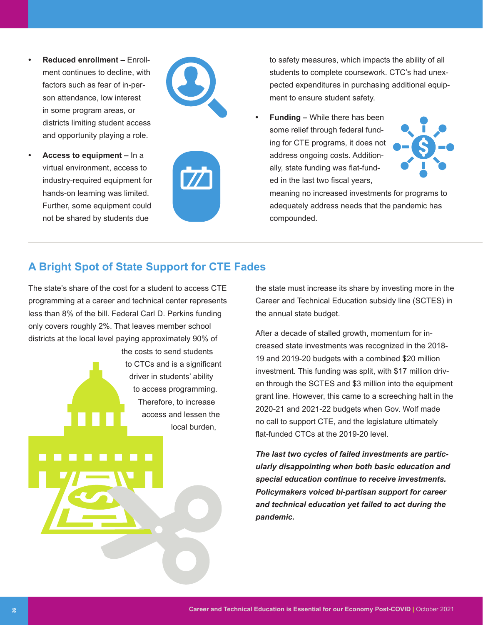- **• Reduced enrollment –** Enrollment continues to decline, with factors such as fear of in-person attendance, low interest in some program areas, or districts limiting student access and opportunity playing a role.
- **• Access to equipment** In a virtual environment, access to industry-required equipment for hands-on learning was limited. Further, some equipment could not be shared by students due





to safety measures, which impacts the ability of all students to complete coursework. CTC's had unexpected expenditures in purchasing additional equipment to ensure student safety.

**• Funding –** While there has been some relief through federal funding for CTE programs, it does not address ongoing costs. Additionally, state funding was flat-funded in the last two fiscal years,



meaning no increased investments for programs to adequately address needs that the pandemic has compounded.

### **A Bright Spot of State Support for CTE Fades**

The state's share of the cost for a student to access CTE programming at a career and technical center represents less than 8% of the bill. Federal Carl D. Perkins funding only covers roughly 2%. That leaves member school districts at the local level paying approximately 90% of

the costs to send students to CTCs and is a significant driver in students' ability to access programming. Therefore, to increase access and lessen the local burden,

the state must increase its share by investing more in the Career and Technical Education subsidy line (SCTES) in the annual state budget.

After a decade of stalled growth, momentum for increased state investments was recognized in the 2018- 19 and 2019-20 budgets with a combined \$20 million investment. This funding was split, with \$17 million driven through the SCTES and \$3 million into the equipment grant line. However, this came to a screeching halt in the 2020-21 and 2021-22 budgets when Gov. Wolf made no call to support CTE, and the legislature ultimately flat-funded CTCs at the 2019-20 level

*The last two cycles of failed investments are particularly disappointing when both basic education and special education continue to receive investments. Policymakers voiced bi-partisan support for career and technical education yet failed to act during the pandemic.*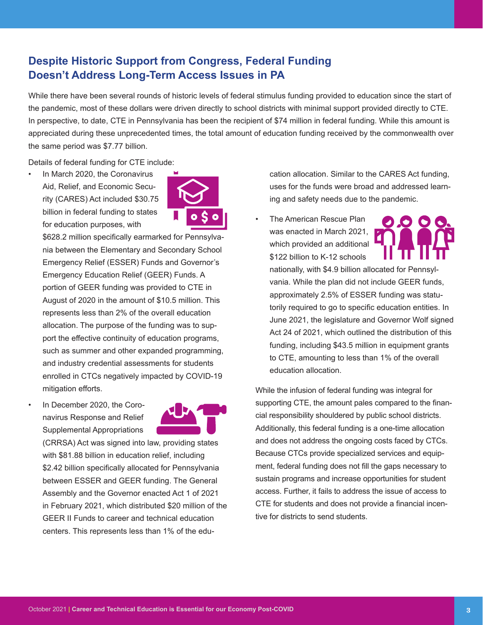## **Despite Historic Support from Congress, Federal Funding Doesn't Address Long-Term Access Issues in PA**

While there have been several rounds of historic levels of federal stimulus funding provided to education since the start of the pandemic, most of these dollars were driven directly to school districts with minimal support provided directly to CTE. In perspective, to date, CTE in Pennsylvania has been the recipient of \$74 million in federal funding. While this amount is appreciated during these unprecedented times, the total amount of education funding received by the commonwealth over the same period was \$7.77 billion.

Details of federal funding for CTE include:

In March 2020, the Coronavirus Aid, Relief, and Economic Security (CARES) Act included \$30.75 billion in federal funding to states for education purposes, with



\$628.2 million specifically earmarked for Pennsylvania between the Elementary and Secondary School Emergency Relief (ESSER) Funds and Governor's Emergency Education Relief (GEER) Funds. A portion of GEER funding was provided to CTE in August of 2020 in the amount of \$10.5 million. This represents less than 2% of the overall education allocation. The purpose of the funding was to support the effective continuity of education programs, such as summer and other expanded programming, and industry credential assessments for students enrolled in CTCs negatively impacted by COVID-19 mitigation efforts.

In December 2020, the Coronavirus Response and Relief Supplemental Appropriations



(CRRSA) Act was signed into law, providing states with \$81.88 billion in education relief, including \$2.42 billion specifically allocated for Pennsylvania between ESSER and GEER funding. The General Assembly and the Governor enacted Act 1 of 2021 in February 2021, which distributed \$20 million of the GEER II Funds to career and technical education centers. This represents less than 1% of the education allocation. Similar to the CARES Act funding, uses for the funds were broad and addressed learning and safety needs due to the pandemic.

• The American Rescue Plan was enacted in March 2021, which provided an additional \$122 billion to K-12 schools



nationally, with \$4.9 billion allocated for Pennsylvania. While the plan did not include GEER funds, approximately 2.5% of ESSER funding was statutorily required to go to specific education entities. In June 2021, the legislature and Governor Wolf signed Act 24 of 2021, which outlined the distribution of this funding, including \$43.5 million in equipment grants to CTE, amounting to less than 1% of the overall education allocation.

While the infusion of federal funding was integral for supporting CTE, the amount pales compared to the financial responsibility shouldered by public school districts. Additionally, this federal funding is a one-time allocation and does not address the ongoing costs faced by CTCs. Because CTCs provide specialized services and equipment, federal funding does not fill the gaps necessary to sustain programs and increase opportunities for student access. Further, it fails to address the issue of access to CTE for students and does not provide a financial incentive for districts to send students.